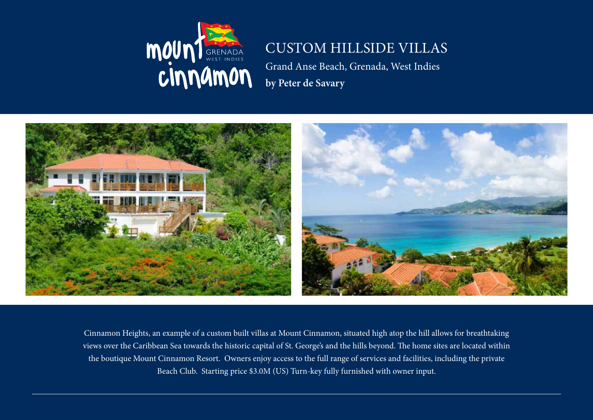

## CUSTOM HILLSIDE VILLAS

Grand Anse Beach, Grenada, West Indies **by Peter de Savary**



Cinnamon Heights, an example of a custom built villas at Mount Cinnamon, situated high atop the hill allows for breathtaking views over the Caribbean Sea towards the historic capital of St. George's and the hills beyond. The home sites are located within the boutique Mount Cinnamon Resort. Owners enjoy access to the full range of services and facilities, including the private Beach Club. Starting price \$3.0M (US) Turn-key fully furnished with owner input.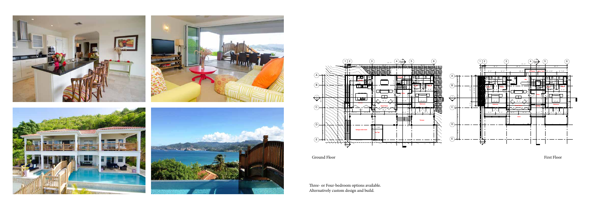

 $(B)$  $\overline{c}$  $\bigcap$  $\odot$ 



 $\overline{S}$  St. Port of  $\overline{S}$  St. Port of Spain  $\overline{S}$ Ground Floor

Prist Floor

Three- or Four-bedroom options available. Alternatively custom design and build.